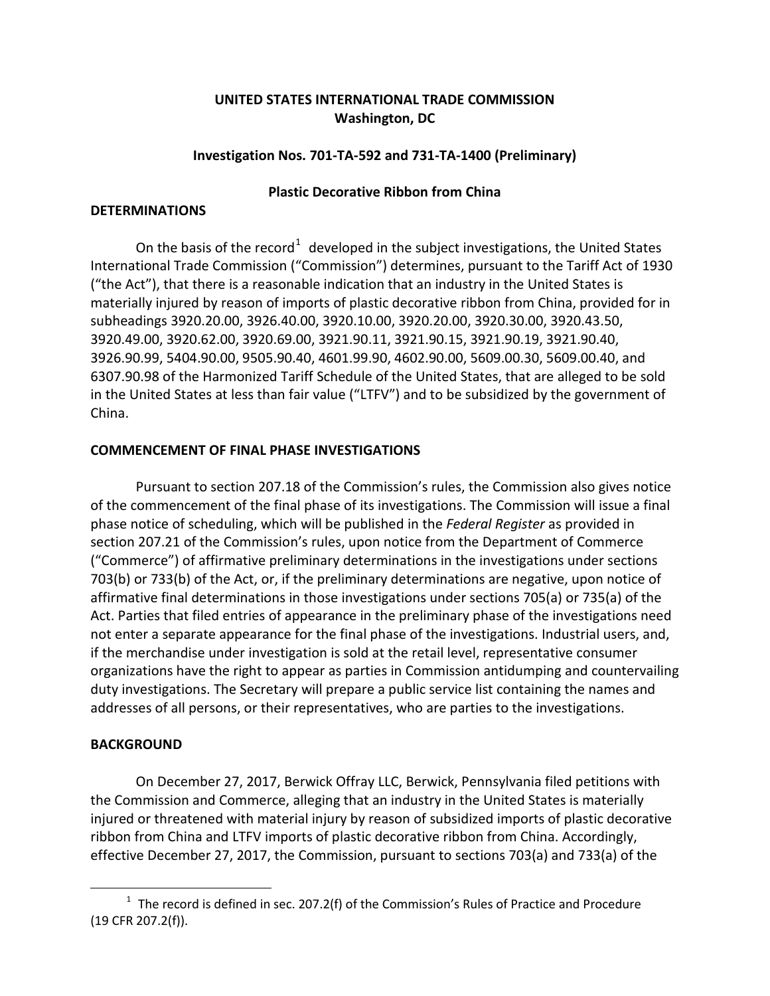# **UNITED STATES INTERNATIONAL TRADE COMMISSION Washington, DC**

## **Investigation Nos. 701-TA-592 and 731-TA-1400 (Preliminary)**

#### **Plastic Decorative Ribbon from China**

#### **DETERMINATIONS**

On the basis of the record<sup>[1](#page-0-0)</sup> developed in the subject investigations, the United States International Trade Commission ("Commission") determines, pursuant to the Tariff Act of 1930 ("the Act"), that there is a reasonable indication that an industry in the United States is materially injured by reason of imports of plastic decorative ribbon from China, provided for in subheadings 3920.20.00, 3926.40.00, 3920.10.00, 3920.20.00, 3920.30.00, 3920.43.50, 3920.49.00, 3920.62.00, 3920.69.00, 3921.90.11, 3921.90.15, 3921.90.19, 3921.90.40, 3926.90.99, 5404.90.00, 9505.90.40, 4601.99.90, 4602.90.00, 5609.00.30, 5609.00.40, and 6307.90.98 of the Harmonized Tariff Schedule of the United States, that are alleged to be sold in the United States at less than fair value ("LTFV") and to be subsidized by the government of China.

### **COMMENCEMENT OF FINAL PHASE INVESTIGATIONS**

Pursuant to section 207.18 of the Commission's rules, the Commission also gives notice of the commencement of the final phase of its investigations. The Commission will issue a final phase notice of scheduling, which will be published in the *Federal Register* as provided in section 207.21 of the Commission's rules, upon notice from the Department of Commerce ("Commerce") of affirmative preliminary determinations in the investigations under sections 703(b) or 733(b) of the Act, or, if the preliminary determinations are negative, upon notice of affirmative final determinations in those investigations under sections 705(a) or 735(a) of the Act. Parties that filed entries of appearance in the preliminary phase of the investigations need not enter a separate appearance for the final phase of the investigations. Industrial users, and, if the merchandise under investigation is sold at the retail level, representative consumer organizations have the right to appear as parties in Commission antidumping and countervailing duty investigations. The Secretary will prepare a public service list containing the names and addresses of all persons, or their representatives, who are parties to the investigations.

#### **BACKGROUND**

 $\overline{a}$ 

On December 27, 2017, Berwick Offray LLC, Berwick, Pennsylvania filed petitions with the Commission and Commerce, alleging that an industry in the United States is materially injured or threatened with material injury by reason of subsidized imports of plastic decorative ribbon from China and LTFV imports of plastic decorative ribbon from China. Accordingly, effective December 27, 2017, the Commission, pursuant to sections 703(a) and 733(a) of the

<span id="page-0-0"></span> $1$  The record is defined in sec. 207.2(f) of the Commission's Rules of Practice and Procedure (19 CFR 207.2(f)).